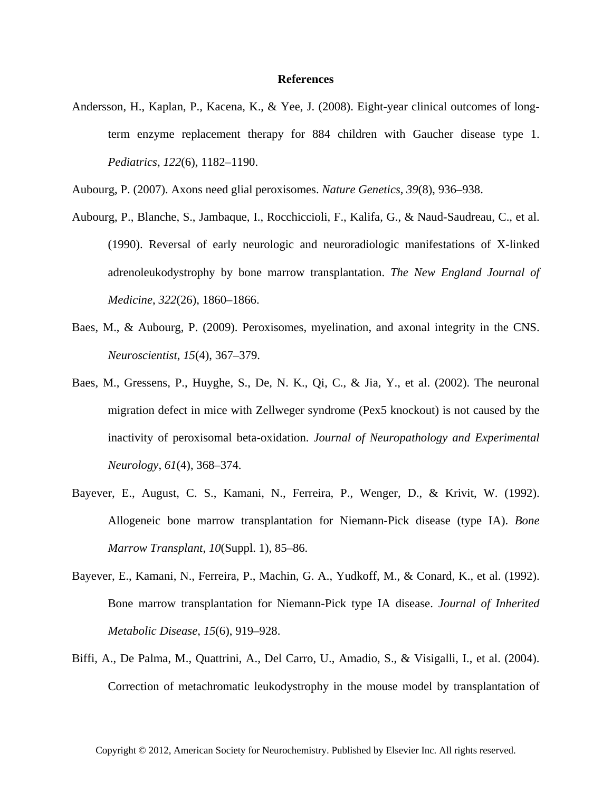## **References**

Andersson, H., Kaplan, P., Kacena, K., & Yee, J. (2008). Eight-year clinical outcomes of longterm enzyme replacement therapy for 884 children with Gaucher disease type 1. *Pediatrics*, *122*(6), 1182–1190.

Aubourg, P. (2007). Axons need glial peroxisomes. *Nature Genetics*, *39*(8), 936–938.

- Aubourg, P., Blanche, S., Jambaque, I., Rocchiccioli, F., Kalifa, G., & Naud-Saudreau, C., et al. (1990). Reversal of early neurologic and neuroradiologic manifestations of X-linked adrenoleukodystrophy by bone marrow transplantation. *The New England Journal of Medicine*, *322*(26), 1860–1866.
- Baes, M., & Aubourg, P. (2009). Peroxisomes, myelination, and axonal integrity in the CNS. *Neuroscientist*, *15*(4), 367–379.
- Baes, M., Gressens, P., Huyghe, S., De, N. K., Qi, C., & Jia, Y., et al. (2002). The neuronal migration defect in mice with Zellweger syndrome (Pex5 knockout) is not caused by the inactivity of peroxisomal beta-oxidation. *Journal of Neuropathology and Experimental Neurology*, *61*(4), 368–374.
- Bayever, E., August, C. S., Kamani, N., Ferreira, P., Wenger, D., & Krivit, W. (1992). Allogeneic bone marrow transplantation for Niemann-Pick disease (type IA). *Bone Marrow Transplant*, *10*(Suppl. 1), 85–86.
- Bayever, E., Kamani, N., Ferreira, P., Machin, G. A., Yudkoff, M., & Conard, K., et al. (1992). Bone marrow transplantation for Niemann-Pick type IA disease. *Journal of Inherited Metabolic Disease*, *15*(6), 919–928.
- Biffi, A., De Palma, M., Quattrini, A., Del Carro, U., Amadio, S., & Visigalli, I., et al. (2004). Correction of metachromatic leukodystrophy in the mouse model by transplantation of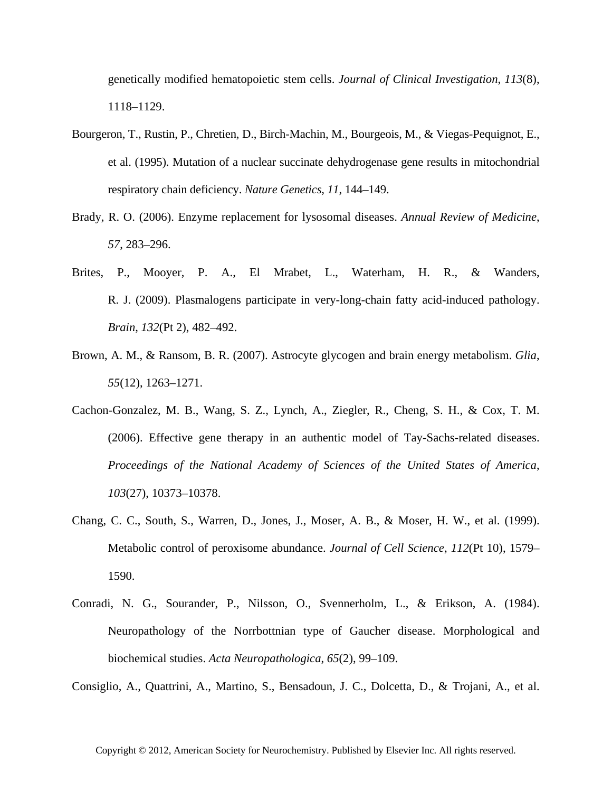genetically modified hematopoietic stem cells. *Journal of Clinical Investigation*, *113*(8), 1118–1129.

- Bourgeron, T., Rustin, P., Chretien, D., Birch-Machin, M., Bourgeois, M., & Viegas-Pequignot, E., et al. (1995). Mutation of a nuclear succinate dehydrogenase gene results in mitochondrial respiratory chain deficiency. *Nature Genetics*, *11*, 144–149.
- Brady, R. O. (2006). Enzyme replacement for lysosomal diseases. *Annual Review of Medicine*, *57*, 283–296.
- Brites, P., Mooyer, P. A., El Mrabet, L., Waterham, H. R., & Wanders, R. J. (2009). Plasmalogens participate in very-long-chain fatty acid-induced pathology. *Brain*, *132*(Pt 2), 482–492.
- Brown, A. M., & Ransom, B. R. (2007). Astrocyte glycogen and brain energy metabolism. *Glia*, *55*(12), 1263–1271.
- Cachon-Gonzalez, M. B., Wang, S. Z., Lynch, A., Ziegler, R., Cheng, S. H., & Cox, T. M. (2006). Effective gene therapy in an authentic model of Tay-Sachs-related diseases. *Proceedings of the National Academy of Sciences of the United States of America*, *103*(27), 10373–10378.
- Chang, C. C., South, S., Warren, D., Jones, J., Moser, A. B., & Moser, H. W., et al. (1999). Metabolic control of peroxisome abundance. *Journal of Cell Science*, *112*(Pt 10), 1579– 1590.
- Conradi, N. G., Sourander, P., Nilsson, O., Svennerholm, L., & Erikson, A. (1984). Neuropathology of the Norrbottnian type of Gaucher disease. Morphological and biochemical studies. *Acta Neuropathologica*, *65*(2), 99–109.

Consiglio, A., Quattrini, A., Martino, S., Bensadoun, J. C., Dolcetta, D., & Trojani, A., et al.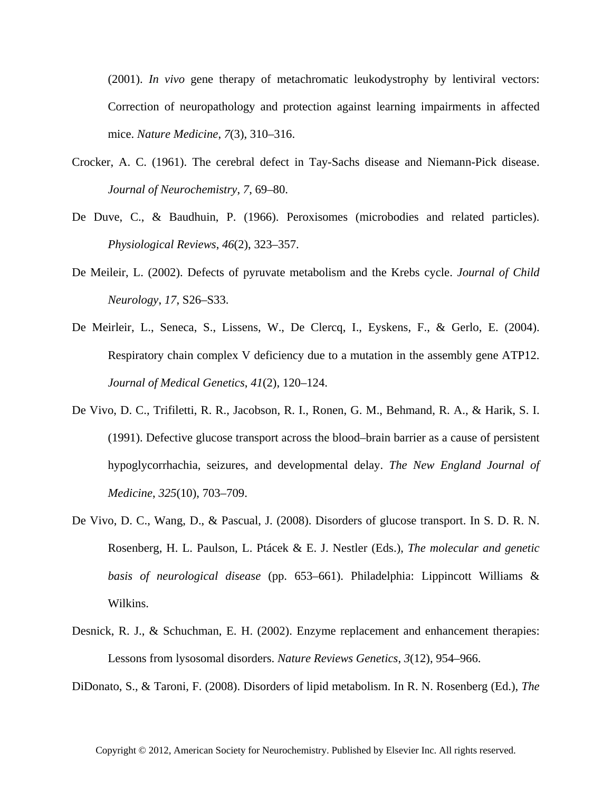(2001). *In vivo* gene therapy of metachromatic leukodystrophy by lentiviral vectors: Correction of neuropathology and protection against learning impairments in affected mice. *Nature Medicine*, *7*(3), 310–316.

- Crocker, A. C. (1961). The cerebral defect in Tay-Sachs disease and Niemann-Pick disease. *Journal of Neurochemistry*, *7*, 69–80.
- De Duve, C., & Baudhuin, P. (1966). Peroxisomes (microbodies and related particles). *Physiological Reviews*, *46*(2), 323–357.
- De Meileir, L. (2002). Defects of pyruvate metabolism and the Krebs cycle. *Journal of Child Neurology*, *17*, S26–S33.
- De Meirleir, L., Seneca, S., Lissens, W., De Clercq, I., Eyskens, F., & Gerlo, E. (2004). Respiratory chain complex V deficiency due to a mutation in the assembly gene ATP12. *Journal of Medical Genetics*, *41*(2), 120–124.
- De Vivo, D. C., Trifiletti, R. R., Jacobson, R. I., Ronen, G. M., Behmand, R. A., & Harik, S. I. (1991). Defective glucose transport across the blood–brain barrier as a cause of persistent hypoglycorrhachia, seizures, and developmental delay. *The New England Journal of Medicine*, *325*(10), 703–709.
- De Vivo, D. C., Wang, D., & Pascual, J. (2008). Disorders of glucose transport. In S. D. R. N. Rosenberg, H. L. Paulson, L. Ptácek & E. J. Nestler (Eds.), *The molecular and genetic basis of neurological disease* (pp. 653–661). Philadelphia: Lippincott Williams & Wilkins.
- Desnick, R. J., & Schuchman, E. H. (2002). Enzyme replacement and enhancement therapies: Lessons from lysosomal disorders. *Nature Reviews Genetics*, *3*(12), 954–966.

DiDonato, S., & Taroni, F. (2008). Disorders of lipid metabolism. In R. N. Rosenberg (Ed.), *The*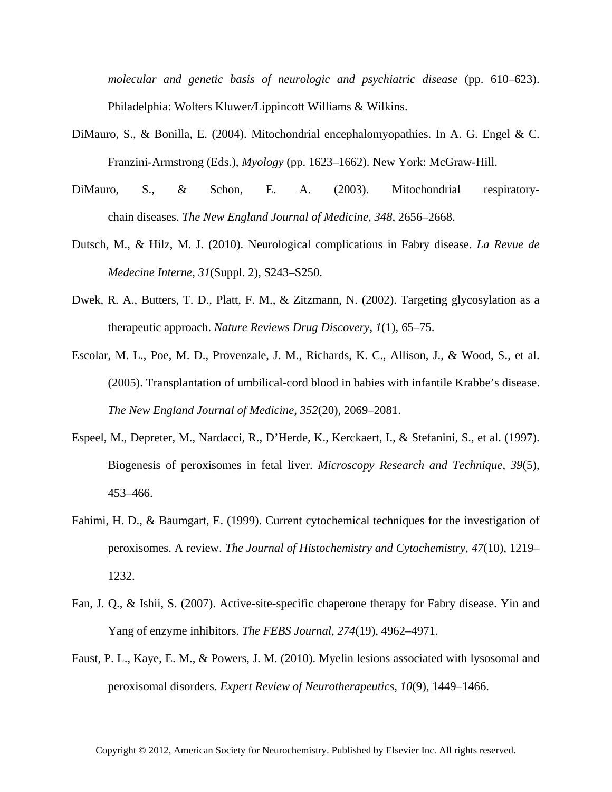*molecular and genetic basis of neurologic and psychiatric disease* (pp. 610–623). Philadelphia: Wolters Kluwer*/*Lippincott Williams & Wilkins.

- DiMauro, S., & Bonilla, E. (2004). Mitochondrial encephalomyopathies. In A. G. Engel & C. Franzini-Armstrong (Eds.), *Myology* (pp. 1623–1662). New York: McGraw-Hill.
- DiMauro, S., & Schon, E. A. (2003). Mitochondrial respiratorychain diseases. *The New England Journal of Medicine*, *348*, 2656–2668.
- Dutsch, M., & Hilz, M. J. (2010). Neurological complications in Fabry disease. *La Revue de Medecine Interne*, *31*(Suppl. 2), S243–S250.
- Dwek, R. A., Butters, T. D., Platt, F. M., & Zitzmann, N. (2002). Targeting glycosylation as a therapeutic approach. *Nature Reviews Drug Discovery*, *1*(1), 65–75.
- Escolar, M. L., Poe, M. D., Provenzale, J. M., Richards, K. C., Allison, J., & Wood, S., et al. (2005). Transplantation of umbilical-cord blood in babies with infantile Krabbe's disease. *The New England Journal of Medicine*, *352*(20), 2069–2081.
- Espeel, M., Depreter, M., Nardacci, R., D'Herde, K., Kerckaert, I., & Stefanini, S., et al. (1997). Biogenesis of peroxisomes in fetal liver. *Microscopy Research and Technique*, *39*(5), 453–466.
- Fahimi, H. D., & Baumgart, E. (1999). Current cytochemical techniques for the investigation of peroxisomes. A review. *The Journal of Histochemistry and Cytochemistry*, *47*(10), 1219– 1232.
- Fan, J. Q., & Ishii, S. (2007). Active-site-specific chaperone therapy for Fabry disease. Yin and Yang of enzyme inhibitors. *The FEBS Journal*, *274*(19), 4962–4971.
- Faust, P. L., Kaye, E. M., & Powers, J. M. (2010). Myelin lesions associated with lysosomal and peroxisomal disorders. *Expert Review of Neurotherapeutics*, *10*(9), 1449–1466.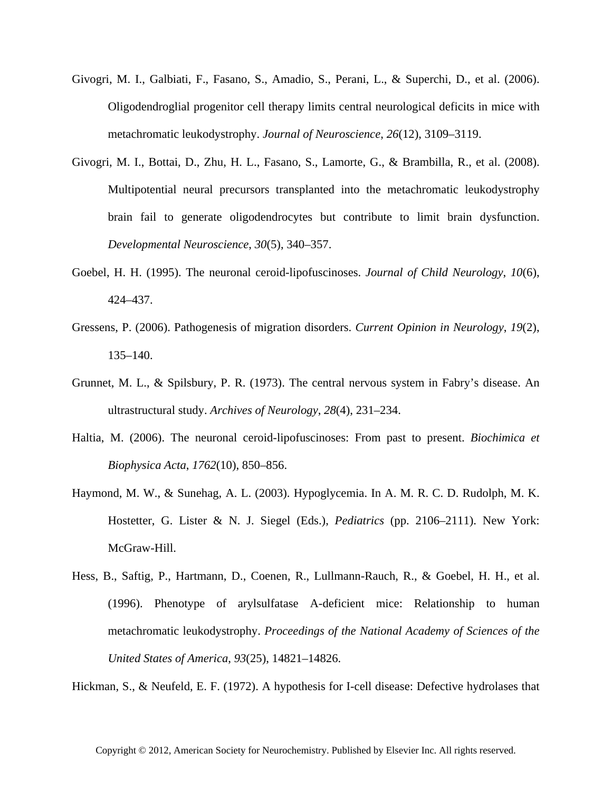- Givogri, M. I., Galbiati, F., Fasano, S., Amadio, S., Perani, L., & Superchi, D., et al. (2006). Oligodendroglial progenitor cell therapy limits central neurological deficits in mice with metachromatic leukodystrophy. *Journal of Neuroscience*, *26*(12), 3109–3119.
- Givogri, M. I., Bottai, D., Zhu, H. L., Fasano, S., Lamorte, G., & Brambilla, R., et al. (2008). Multipotential neural precursors transplanted into the metachromatic leukodystrophy brain fail to generate oligodendrocytes but contribute to limit brain dysfunction. *Developmental Neuroscience*, *30*(5), 340–357.
- Goebel, H. H. (1995). The neuronal ceroid-lipofuscinoses. *Journal of Child Neurology*, *10*(6), 424–437.
- Gressens, P. (2006). Pathogenesis of migration disorders. *Current Opinion in Neurology*, *19*(2), 135–140.
- Grunnet, M. L., & Spilsbury, P. R. (1973). The central nervous system in Fabry's disease. An ultrastructural study. *Archives of Neurology*, *28*(4), 231–234.
- Haltia, M. (2006). The neuronal ceroid-lipofuscinoses: From past to present. *Biochimica et Biophysica Acta*, *1762*(10), 850–856.
- Haymond, M. W., & Sunehag, A. L. (2003). Hypoglycemia. In A. M. R. C. D. Rudolph, M. K. Hostetter, G. Lister & N. J. Siegel (Eds.), *Pediatrics* (pp. 2106–2111). New York: McGraw-Hill.
- Hess, B., Saftig, P., Hartmann, D., Coenen, R., Lullmann-Rauch, R., & Goebel, H. H., et al. (1996). Phenotype of arylsulfatase A-deficient mice: Relationship to human metachromatic leukodystrophy. *Proceedings of the National Academy of Sciences of the United States of America*, *93*(25), 14821–14826.

Hickman, S., & Neufeld, E. F. (1972). A hypothesis for I-cell disease: Defective hydrolases that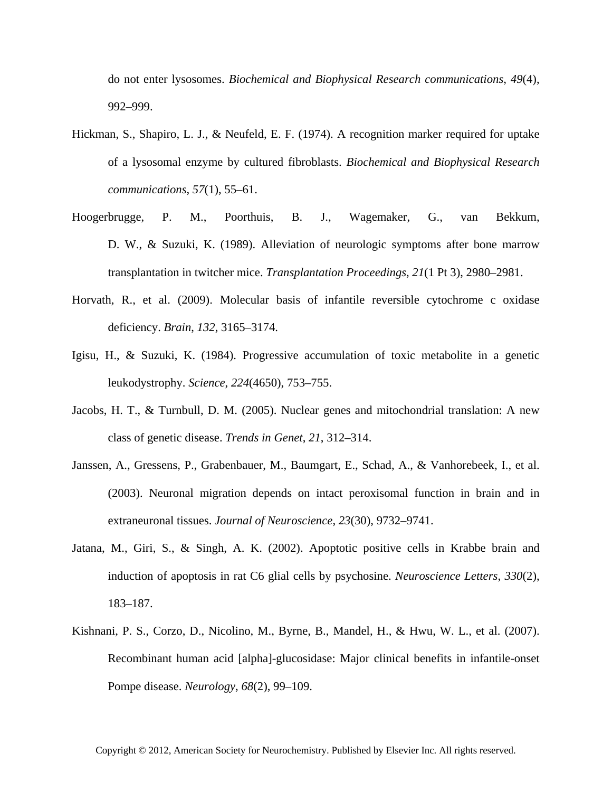do not enter lysosomes. *Biochemical and Biophysical Research communications*, *49*(4), 992–999.

- Hickman, S., Shapiro, L. J., & Neufeld, E. F. (1974). A recognition marker required for uptake of a lysosomal enzyme by cultured fibroblasts. *Biochemical and Biophysical Research communications*, *57*(1), 55–61.
- Hoogerbrugge, P. M., Poorthuis, B. J., Wagemaker, G., van Bekkum, D. W., & Suzuki, K. (1989). Alleviation of neurologic symptoms after bone marrow transplantation in twitcher mice. *Transplantation Proceedings*, *21*(1 Pt 3), 2980–2981.
- Horvath, R., et al. (2009). Molecular basis of infantile reversible cytochrome c oxidase deficiency. *Brain*, *132*, 3165–3174.
- Igisu, H., & Suzuki, K. (1984). Progressive accumulation of toxic metabolite in a genetic leukodystrophy. *Science*, *224*(4650), 753–755.
- Jacobs, H. T., & Turnbull, D. M. (2005). Nuclear genes and mitochondrial translation: A new class of genetic disease. *Trends in Genet*, *21*, 312–314.
- Janssen, A., Gressens, P., Grabenbauer, M., Baumgart, E., Schad, A., & Vanhorebeek, I., et al. (2003). Neuronal migration depends on intact peroxisomal function in brain and in extraneuronal tissues. *Journal of Neuroscience*, *23*(30), 9732–9741.
- Jatana, M., Giri, S., & Singh, A. K. (2002). Apoptotic positive cells in Krabbe brain and induction of apoptosis in rat C6 glial cells by psychosine. *Neuroscience Letters*, *330*(2), 183–187.
- Kishnani, P. S., Corzo, D., Nicolino, M., Byrne, B., Mandel, H., & Hwu, W. L., et al. (2007). Recombinant human acid [alpha]-glucosidase: Major clinical benefits in infantile-onset Pompe disease. *Neurology*, *68*(2), 99–109.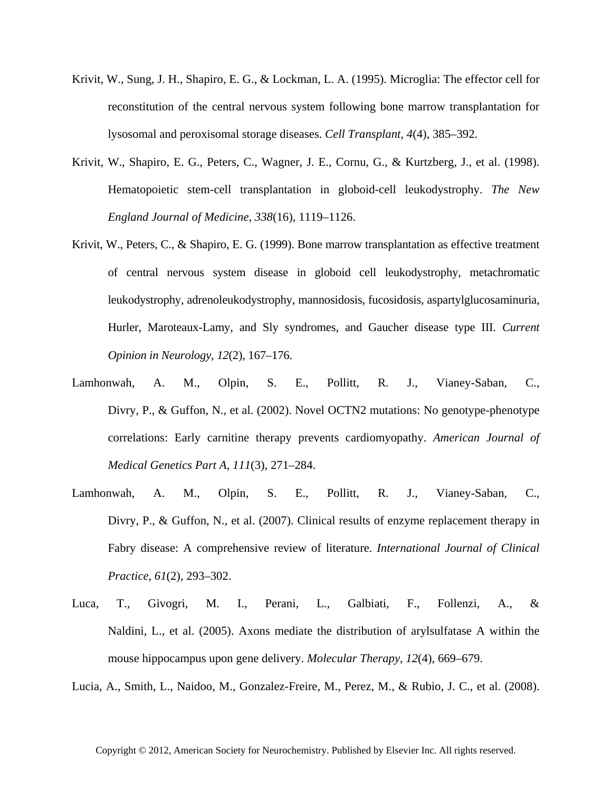- Krivit, W., Sung, J. H., Shapiro, E. G., & Lockman, L. A. (1995). Microglia: The effector cell for reconstitution of the central nervous system following bone marrow transplantation for lysosomal and peroxisomal storage diseases. *Cell Transplant*, *4*(4), 385–392.
- Krivit, W., Shapiro, E. G., Peters, C., Wagner, J. E., Cornu, G., & Kurtzberg, J., et al. (1998). Hematopoietic stem-cell transplantation in globoid-cell leukodystrophy. *The New England Journal of Medicine*, *338*(16), 1119–1126.
- Krivit, W., Peters, C., & Shapiro, E. G. (1999). Bone marrow transplantation as effective treatment of central nervous system disease in globoid cell leukodystrophy, metachromatic leukodystrophy, adrenoleukodystrophy, mannosidosis, fucosidosis, aspartylglucosaminuria, Hurler, Maroteaux-Lamy, and Sly syndromes, and Gaucher disease type III. *Current Opinion in Neurology*, *12*(2), 167–176.
- Lamhonwah, A. M., Olpin, S. E., Pollitt, R. J., Vianey-Saban, C., Divry, P., & Guffon, N., et al. (2002). Novel OCTN2 mutations: No genotype-phenotype correlations: Early carnitine therapy prevents cardiomyopathy. *American Journal of Medical Genetics Part A*, *111*(3), 271–284.
- Lamhonwah, A. M., Olpin, S. E., Pollitt, R. J., Vianey-Saban, C., Divry, P., & Guffon, N., et al. (2007). Clinical results of enzyme replacement therapy in Fabry disease: A comprehensive review of literature. *International Journal of Clinical Practice*, *61*(2), 293–302.
- Luca, T., Givogri, M. I., Perani, L., Galbiati, F., Follenzi, A., & Naldini, L., et al. (2005). Axons mediate the distribution of arylsulfatase A within the mouse hippocampus upon gene delivery. *Molecular Therapy*, *12*(4), 669–679.

Lucia, A., Smith, L., Naidoo, M., Gonzalez-Freire, M., Perez, M., & Rubio, J. C., et al. (2008).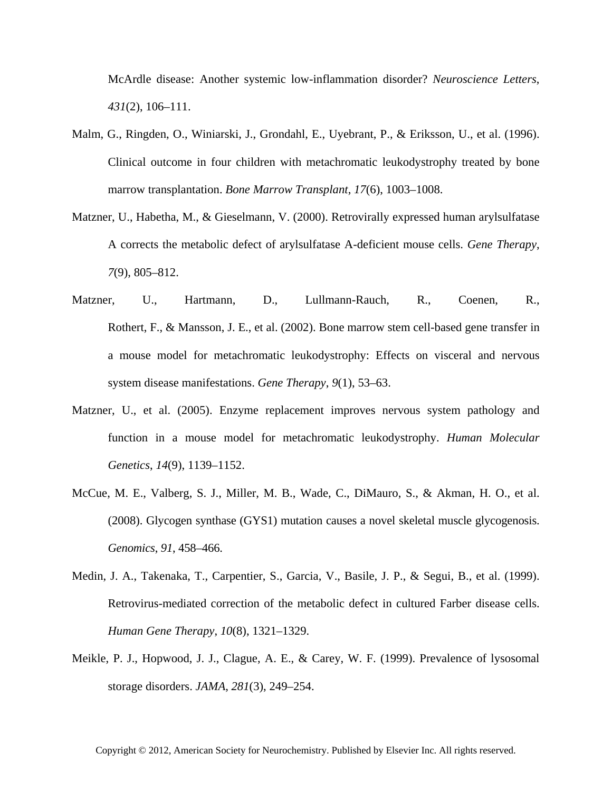McArdle disease: Another systemic low-inflammation disorder? *Neuroscience Letters*, *431*(2), 106–111.

- Malm, G., Ringden, O., Winiarski, J., Grondahl, E., Uyebrant, P., & Eriksson, U., et al. (1996). Clinical outcome in four children with metachromatic leukodystrophy treated by bone marrow transplantation. *Bone Marrow Transplant*, *17*(6), 1003–1008.
- Matzner, U., Habetha, M., & Gieselmann, V. (2000). Retrovirally expressed human arylsulfatase A corrects the metabolic defect of arylsulfatase A-deficient mouse cells. *Gene Therapy*, *7*(9), 805–812.
- Matzner, U., Hartmann, D., Lullmann-Rauch, R., Coenen, R., Rothert, F., & Mansson, J. E., et al. (2002). Bone marrow stem cell-based gene transfer in a mouse model for metachromatic leukodystrophy: Effects on visceral and nervous system disease manifestations. *Gene Therapy*, *9*(1), 53–63.
- Matzner, U., et al. (2005). Enzyme replacement improves nervous system pathology and function in a mouse model for metachromatic leukodystrophy. *Human Molecular Genetics*, *14*(9), 1139–1152.
- McCue, M. E., Valberg, S. J., Miller, M. B., Wade, C., DiMauro, S., & Akman, H. O., et al. (2008). Glycogen synthase (GYS1) mutation causes a novel skeletal muscle glycogenosis. *Genomics*, *91*, 458–466.
- Medin, J. A., Takenaka, T., Carpentier, S., Garcia, V., Basile, J. P., & Segui, B., et al. (1999). Retrovirus-mediated correction of the metabolic defect in cultured Farber disease cells. *Human Gene Therapy*, *10*(8), 1321–1329.
- Meikle, P. J., Hopwood, J. J., Clague, A. E., & Carey, W. F. (1999). Prevalence of lysosomal storage disorders. *JAMA*, *281*(3), 249–254.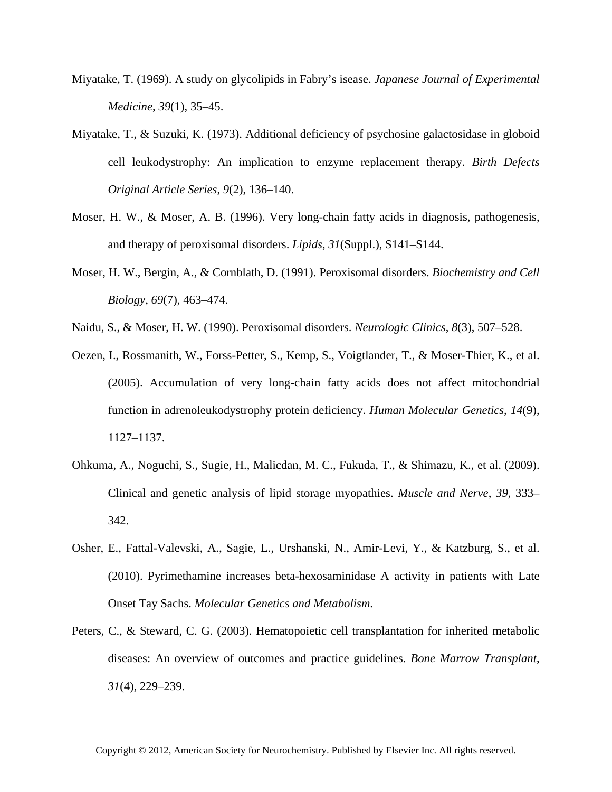- Miyatake, T. (1969). A study on glycolipids in Fabry's isease. *Japanese Journal of Experimental Medicine*, *39*(1), 35–45.
- Miyatake, T., & Suzuki, K. (1973). Additional deficiency of psychosine galactosidase in globoid cell leukodystrophy: An implication to enzyme replacement therapy. *Birth Defects Original Article Series*, *9*(2), 136–140.
- Moser, H. W., & Moser, A. B. (1996). Very long-chain fatty acids in diagnosis, pathogenesis, and therapy of peroxisomal disorders. *Lipids*, *31*(Suppl.), S141–S144.
- Moser, H. W., Bergin, A., & Cornblath, D. (1991). Peroxisomal disorders. *Biochemistry and Cell Biology*, *69*(7), 463–474.
- Naidu, S., & Moser, H. W. (1990). Peroxisomal disorders. *Neurologic Clinics*, *8*(3), 507–528.
- Oezen, I., Rossmanith, W., Forss-Petter, S., Kemp, S., Voigtlander, T., & Moser-Thier, K., et al. (2005). Accumulation of very long-chain fatty acids does not affect mitochondrial function in adrenoleukodystrophy protein deficiency. *Human Molecular Genetics*, *14*(9), 1127–1137.
- Ohkuma, A., Noguchi, S., Sugie, H., Malicdan, M. C., Fukuda, T., & Shimazu, K., et al. (2009). Clinical and genetic analysis of lipid storage myopathies. *Muscle and Nerve*, *39*, 333– 342.
- Osher, E., Fattal-Valevski, A., Sagie, L., Urshanski, N., Amir-Levi, Y., & Katzburg, S., et al. (2010). Pyrimethamine increases beta-hexosaminidase A activity in patients with Late Onset Tay Sachs. *Molecular Genetics and Metabolism*.
- Peters, C., & Steward, C. G. (2003). Hematopoietic cell transplantation for inherited metabolic diseases: An overview of outcomes and practice guidelines. *Bone Marrow Transplant*, *31*(4), 229–239.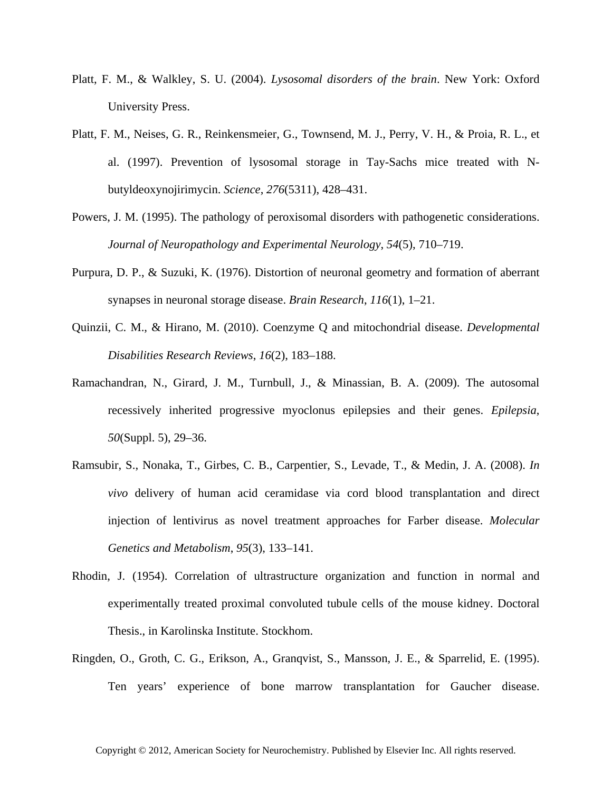- Platt, F. M., & Walkley, S. U. (2004). *Lysosomal disorders of the brain*. New York: Oxford University Press.
- Platt, F. M., Neises, G. R., Reinkensmeier, G., Townsend, M. J., Perry, V. H., & Proia, R. L., et al. (1997). Prevention of lysosomal storage in Tay-Sachs mice treated with Nbutyldeoxynojirimycin. *Science*, *276*(5311), 428–431.
- Powers, J. M. (1995). The pathology of peroxisomal disorders with pathogenetic considerations. *Journal of Neuropathology and Experimental Neurology*, *54*(5), 710–719.
- Purpura, D. P., & Suzuki, K. (1976). Distortion of neuronal geometry and formation of aberrant synapses in neuronal storage disease. *Brain Research*, *116*(1), 1–21.
- Quinzii, C. M., & Hirano, M. (2010). Coenzyme Q and mitochondrial disease. *Developmental Disabilities Research Reviews*, *16*(2), 183–188.
- Ramachandran, N., Girard, J. M., Turnbull, J., & Minassian, B. A. (2009). The autosomal recessively inherited progressive myoclonus epilepsies and their genes. *Epilepsia*, *50*(Suppl. 5), 29–36.
- Ramsubir, S., Nonaka, T., Girbes, C. B., Carpentier, S., Levade, T., & Medin, J. A. (2008). *In vivo* delivery of human acid ceramidase via cord blood transplantation and direct injection of lentivirus as novel treatment approaches for Farber disease. *Molecular Genetics and Metabolism*, *95*(3), 133–141.
- Rhodin, J. (1954). Correlation of ultrastructure organization and function in normal and experimentally treated proximal convoluted tubule cells of the mouse kidney. Doctoral Thesis., in Karolinska Institute. Stockhom.
- Ringden, O., Groth, C. G., Erikson, A., Granqvist, S., Mansson, J. E., & Sparrelid, E. (1995). Ten years' experience of bone marrow transplantation for Gaucher disease.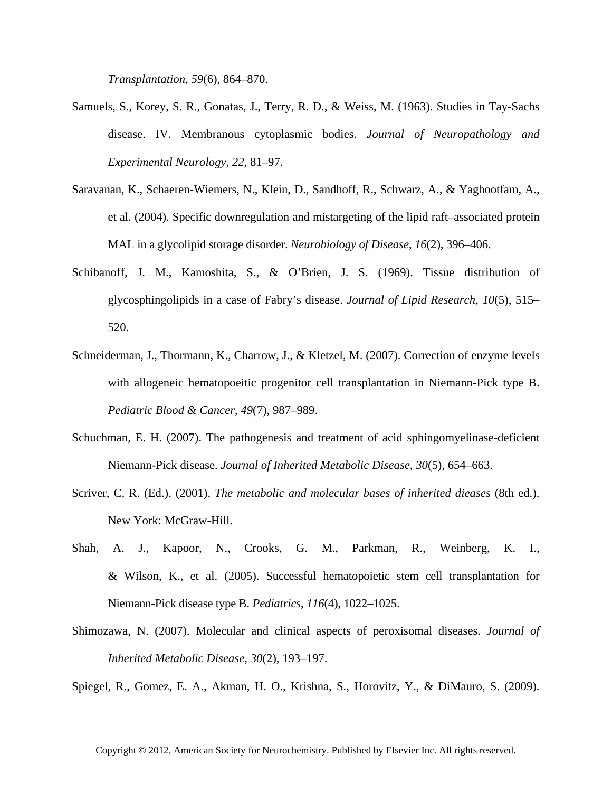*Transplantation*, *59*(6), 864–870.

- Samuels, S., Korey, S. R., Gonatas, J., Terry, R. D., & Weiss, M. (1963). Studies in Tay-Sachs disease. IV. Membranous cytoplasmic bodies. *Journal of Neuropathology and Experimental Neurology*, *22*, 81–97.
- Saravanan, K., Schaeren-Wiemers, N., Klein, D., Sandhoff, R., Schwarz, A., & Yaghootfam, A., et al. (2004). Specific downregulation and mistargeting of the lipid raft–associated protein MAL in a glycolipid storage disorder. *Neurobiology of Disease*, *16*(2), 396–406.
- Schibanoff, J. M., Kamoshita, S., & O'Brien, J. S. (1969). Tissue distribution of glycosphingolipids in a case of Fabry's disease. *Journal of Lipid Research*, *10*(5), 515– 520.
- Schneiderman, J., Thormann, K., Charrow, J., & Kletzel, M. (2007). Correction of enzyme levels with allogeneic hematopoeitic progenitor cell transplantation in Niemann-Pick type B. *Pediatric Blood & Cancer*, *49*(7), 987–989.
- Schuchman, E. H. (2007). The pathogenesis and treatment of acid sphingomyelinase-deficient Niemann-Pick disease. *Journal of Inherited Metabolic Disease*, *30*(5), 654–663.
- Scriver, C. R. (Ed.). (2001). *The metabolic and molecular bases of inherited dieases* (8th ed.). New York: McGraw-Hill.
- Shah, A. J., Kapoor, N., Crooks, G. M., Parkman, R., Weinberg, K. I., & Wilson, K., et al. (2005). Successful hematopoietic stem cell transplantation for Niemann-Pick disease type B. *Pediatrics*, *116*(4), 1022–1025.
- Shimozawa, N. (2007). Molecular and clinical aspects of peroxisomal diseases. *Journal of Inherited Metabolic Disease*, *30*(2), 193–197.

Spiegel, R., Gomez, E. A., Akman, H. O., Krishna, S., Horovitz, Y., & DiMauro, S. (2009).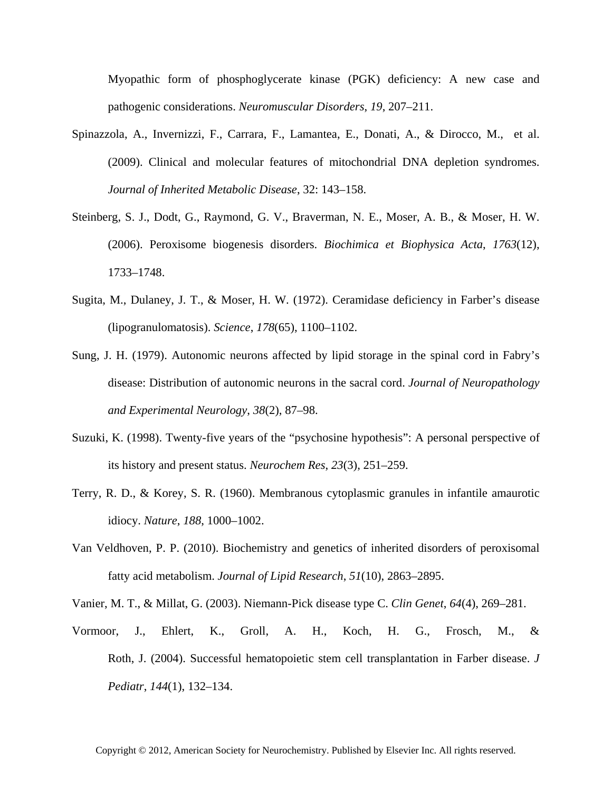Myopathic form of phosphoglycerate kinase (PGK) deficiency: A new case and pathogenic considerations. *Neuromuscular Disorders*, *19*, 207–211.

- Spinazzola, A., Invernizzi, F., Carrara, F., Lamantea, E., Donati, A., & Dirocco, M., et al. (2009). Clinical and molecular features of mitochondrial DNA depletion syndromes. *Journal of Inherited Metabolic Disease*, 32: 143–158.
- Steinberg, S. J., Dodt, G., Raymond, G. V., Braverman, N. E., Moser, A. B., & Moser, H. W. (2006). Peroxisome biogenesis disorders. *Biochimica et Biophysica Acta*, *1763*(12), 1733–1748.
- Sugita, M., Dulaney, J. T., & Moser, H. W. (1972). Ceramidase deficiency in Farber's disease (lipogranulomatosis). *Science*, *178*(65), 1100–1102.
- Sung, J. H. (1979). Autonomic neurons affected by lipid storage in the spinal cord in Fabry's disease: Distribution of autonomic neurons in the sacral cord. *Journal of Neuropathology and Experimental Neurology*, *38*(2), 87–98.
- Suzuki, K. (1998). Twenty-five years of the "psychosine hypothesis": A personal perspective of its history and present status. *Neurochem Res*, *23*(3), 251–259.
- Terry, R. D., & Korey, S. R. (1960). Membranous cytoplasmic granules in infantile amaurotic idiocy. *Nature*, *188*, 1000–1002.
- Van Veldhoven, P. P. (2010). Biochemistry and genetics of inherited disorders of peroxisomal fatty acid metabolism. *Journal of Lipid Research*, *51*(10), 2863–2895.
- Vanier, M. T., & Millat, G. (2003). Niemann-Pick disease type C. *Clin Genet*, *64*(4), 269–281.
- Vormoor, J., Ehlert, K., Groll, A. H., Koch, H. G., Frosch, M., & Roth, J. (2004). Successful hematopoietic stem cell transplantation in Farber disease. *J Pediatr*, *144*(1), 132–134.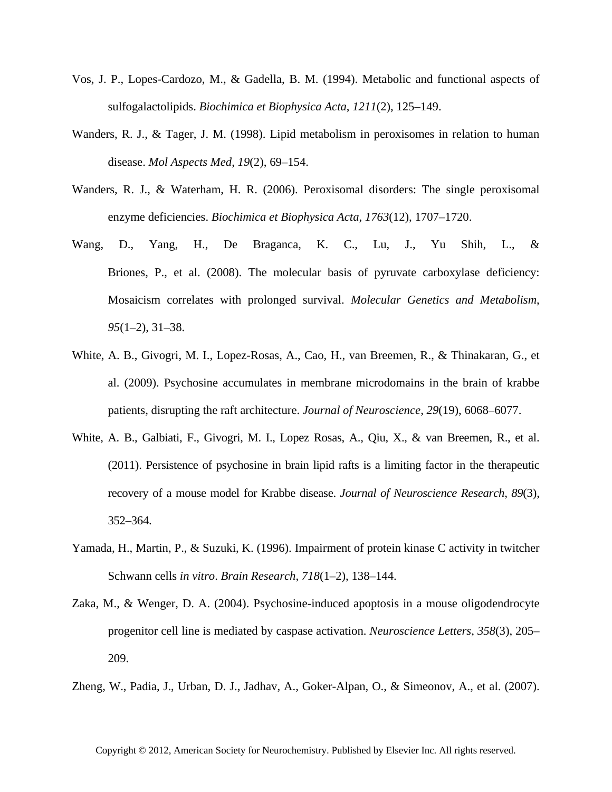- Vos, J. P., Lopes-Cardozo, M., & Gadella, B. M. (1994). Metabolic and functional aspects of sulfogalactolipids. *Biochimica et Biophysica Acta*, *1211*(2), 125–149.
- Wanders, R. J., & Tager, J. M. (1998). Lipid metabolism in peroxisomes in relation to human disease. *Mol Aspects Med*, *19*(2), 69–154.
- Wanders, R. J., & Waterham, H. R. (2006). Peroxisomal disorders: The single peroxisomal enzyme deficiencies. *Biochimica et Biophysica Acta*, *1763*(12), 1707–1720.
- Wang, D., Yang, H., De Braganca, K. C., Lu, J., Yu Shih, L., & Briones, P., et al. (2008). The molecular basis of pyruvate carboxylase deficiency: Mosaicism correlates with prolonged survival. *Molecular Genetics and Metabolism*, *95*(1–2), 31–38.
- White, A. B., Givogri, M. I., Lopez-Rosas, A., Cao, H., van Breemen, R., & Thinakaran, G., et al. (2009). Psychosine accumulates in membrane microdomains in the brain of krabbe patients, disrupting the raft architecture. *Journal of Neuroscience*, *29*(19), 6068–6077.
- White, A. B., Galbiati, F., Givogri, M. I., Lopez Rosas, A., Qiu, X., & van Breemen, R., et al. (2011). Persistence of psychosine in brain lipid rafts is a limiting factor in the therapeutic recovery of a mouse model for Krabbe disease. *Journal of Neuroscience Research*, *89*(3), 352–364.
- Yamada, H., Martin, P., & Suzuki, K. (1996). Impairment of protein kinase C activity in twitcher Schwann cells *in vitro*. *Brain Research*, *718*(1–2), 138–144.
- Zaka, M., & Wenger, D. A. (2004). Psychosine-induced apoptosis in a mouse oligodendrocyte progenitor cell line is mediated by caspase activation. *Neuroscience Letters*, *358*(3), 205– 209.
- Zheng, W., Padia, J., Urban, D. J., Jadhav, A., Goker-Alpan, O., & Simeonov, A., et al. (2007).